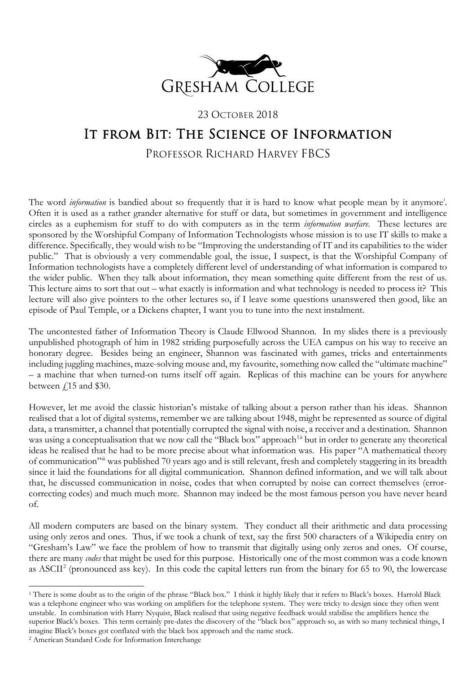

23 OCTOBER 2018

## It from Bit: The Science of Information

## PROFESSOR RICHARD HARVEY FBCS

The word *[i](#page-4-0)nformation* is bandied about so frequently that it is hard to know what people mean by it anymore<sup>i</sup>. Often it is used as a rather grander alternative for stuff or data, but sometimes in government and intelligence circles as a euphemism for stuff to do with computers as in the term *information warfare*. These lectures are sponsored by the Worshipful Company of Information Technologists whose mission is to use IT skills to make a difference. Specifically, they would wish to be "Improving the understanding of IT and its capabilities to the wider public." That is obviously a very commendable goal, the issue, I suspect, is that the Worshipful Company of Information technologists have a completely different level of understanding of what information is compared to the wider public. When they talk about information, they mean something quite different from the rest of us. This lecture aims to sort that out – what exactly is information and what technology is needed to process it? This lecture will also give pointers to the other lectures so, if I leave some questions unanswered then good, like an episode of Paul Temple, or a Dickens chapter, I want you to tune into the next instalment.

The uncontested father of Information Theory is Claude Ellwood Shannon. In my slides there is a previously unpublished photograph of him in 1982 striding purposefully across the UEA campus on his way to receive an honorary degree. Besides being an engineer, Shannon was fascinated with games, tricks and entertainments including juggling machines, maze-solving mouse and, my favourite, something now called the "ultimate machine" – a machine that when turned-on turns itself off again. Replicas of this machine can be yours for anywhere between  $\ell$ 15 and \$30.

However, let me avoid the classic historian's mistake of talking about a person rather than his ideas. Shannon realised that a lot of digital systems, remember we are talking about 1948, might be represented as source of digital data, a transmitter, a channel that potentially corrupted the signal with noise, a receiver and a destination. Shannon was using a conceptualisation that we now call the "Black box" approach<sup>[1](#page-0-0)[ii](#page-4-1)</sup> but in order to generate any theoretical ideas he realised that he had to be more precise about what information was. His paper "A mathematical theory of communication"[iii](#page-4-2) was published 70 years ago and is still relevant, fresh and completely staggering in its breadth since it laid the foundations for all digital communication. Shannon defined information, and we will talk about that, he discussed communication in noise, codes that when corrupted by noise can correct themselves (errorcorrecting codes) and much much more. Shannon may indeed be the most famous person you have never heard of.

All modern computers are based on the binary system. They conduct all their arithmetic and data processing using only zeros and ones. Thus, if we took a chunk of text, say the first 500 characters of a Wikipedia entry on "Gresham's Law" we face the problem of how to transmit that digitally using only zeros and ones. Of course, there are many *codes* that might be used for this purpose. Historically one of the most common was a code known as ASCII<sup>[2](#page-0-1)</sup> (pronounced ass key). In this code the capital letters run from the binary for 65 to 90, the lowercase

<span id="page-0-0"></span><sup>&</sup>lt;sup>1</sup> There is some doubt as to the origin of the phrase "Black box." I think it highly likely that it refers to Black's boxes. Harrold Black was a telephone engineer who was working on amplifiers for the telephone system. They were tricky to design since they often went unstable. In combination with Harry Nyquist, Black realised that using negative feedback would stabilise the amplifiers hence the superior Black's boxes. This term certainly pre-dates the discovery of the "black box" approach so, as with so many technical things, I imagine Black's boxes got conflated with the black box approach and the name stuck.

<span id="page-0-1"></span><sup>2</sup> American Standard Code for Information Interchange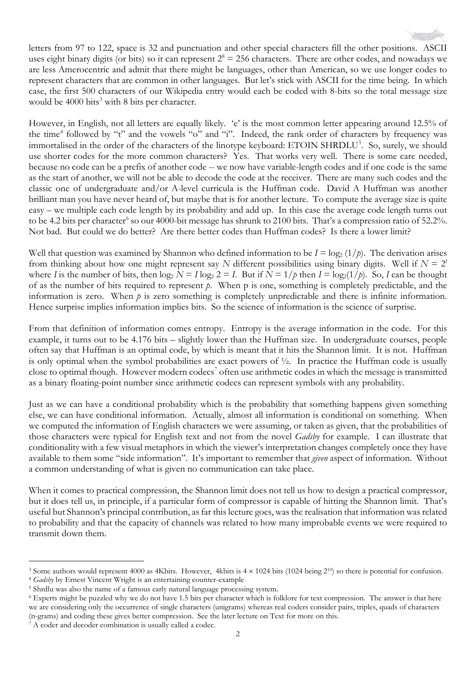letters from 97 to 122, space is 32 and punctuation and other special characters fill the other positions. ASCII uses eight binary digits (or bits) so it can represent  $2^8 = 256$  characters. There are other codes, and nowadays we are less Amerocentric and admit that there might be languages, other than American, so we use longer codes to represent characters that are common in other languages. But let's stick with ASCII for the time being. In which case, the first 500 characters of our Wikipedia entry would each be coded with 8-bits so the total message size would be 4000 bits<sup>[3](#page-1-0)</sup> with 8 bits per character.

However, in English, not all letters are equally likely. 'e' is the most common letter appearing around 12.5% of the time<sup>[4](#page-1-1)</sup> followed by "t" and the vowels "o" and "i". Indeed, the rank order of characters by frequency was immortalised in the order of the characters of the linotype keyboard: ETOIN SHRDLU<sup>[5](#page-1-2)</sup>. So, surely, we should use shorter codes for the more common characters? Yes. That works very well. There is some care needed, because no code can be a prefix of another code -- we now have variable-length codes and if one code is the same as the start of another, we will not be able to decode the code at the receiver. There are many such codes and the classic one of undergraduate and/or A-level curricula is the Huffman code. David A Huffman was another brilliant man you have never heard of, but maybe that is for another lecture. To compute the average size is quite easy – we multiple each code length by its probability and add up. In this case the average code length turns out to be 4.2 bits per character<sup>[6](#page-1-3)</sup> so our 4000-bit message has shrunk to 2100 bits. That's a compression ratio of 52.2%. Not bad. But could we do better? Are there better codes than Huffman codes? Is there a lower limit?

Well that question was examined by Shannon who defined information to be  $I = \log_2(1/p)$ . The derivation arises from thinking about how one might represent say N different possibilities using binary digits. Well if  $N = 2<sup>I</sup>$ where *I* is the number of bits, then  $\log_2 N = I \log_2 2 = I$ . But if  $N = 1/p$  then  $I = \log_2(1/p)$ . So, *I* can be thought of as the number of bits required to represent *p*. When p is one, something is completely predictable, and the information is zero. When *p* is zero something is completely unpredictable and there is infinite information. Hence surprise implies information implies bits. So the science of information is the science of surprise.

From that definition of information comes entropy. Entropy is the average information in the code. For this example, it turns out to be 4.176 bits – slightly lower than the Huffman size. In undergraduate courses, people often say that Huffman is an optimal code, by which is meant that it hits the Shannon limit. It is not. Huffman is only optimal when the symbol probabilities are exact powers of ½. In practice the Huffman code is usually close to optimal though. However modern codecs<sup>[7](#page-1-4)</sup> often use arithmetic codes in which the message is transmitted as a binary floating-point number since arithmetic codecs can represent symbols with any probability.

Just as we can have a conditional probability which is the probability that something happens given something else, we can have conditional information. Actually, almost all information is conditional on something. When we computed the information of English characters we were assuming, or taken as given, that the probabilities of those characters were typical for English text and not from the novel *Gadsby* for example. I can illustrate that conditionality with a few visual metaphors in which the viewer's interpretation changes completely once they have available to them some "side information". It's important to remember that *given* aspect of information. Without a common understanding of what is given no communication can take place.

When it comes to practical compression, the Shannon limit does not tell us how to design a practical compressor, but it does tell us, in principle, if a particular form of compressor is capable of hitting the Shannon limit. That's useful but Shannon's principal contribution, as far this lecture goes, was the realisation that information was related to probability and that the capacity of channels was related to how many improbable events we were required to transmit down them.

<span id="page-1-1"></span><sup>4</sup> *Gadsby* by Ernest Vincent Wright is an entertaining counter-example

<span id="page-1-0"></span><sup>&</sup>lt;sup>3</sup> Some authors would represent 4000 as 4Kbits. However, 4kbits is  $4 \times 1024$  bits (1024 being 2<sup>10</sup>) so there is potential for confusion.

<span id="page-1-2"></span><sup>5</sup> Shrdlu was also the name of a famous early natural language processing system.

<span id="page-1-3"></span><sup>6</sup> Experts might be puzzled why we do not have 1.5 bits per character which is folklore for text compression. The answer is that here we are considering only the occurrence of single characters (unigrams) whereas real coders consider pairs, triples, quads of characters (n-grams) and coding these gives better compression. See the later lecture on Text for more on this. 7 A coder and decoder combination is usually called a codec.

<span id="page-1-4"></span>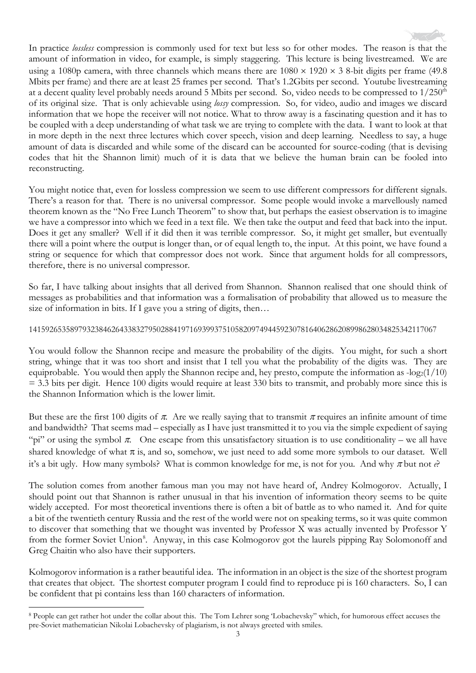

In practice *lossless* compression is commonly used for text but less so for other modes. The reason is that the amount of information in video, for example, is simply staggering. This lecture is being livestreamed. We are using a 1080p camera, with three channels which means there are  $1080 \times 1920 \times 3$  8-bit digits per frame (49.8) Mbits per frame) and there are at least 25 frames per second. That's 1.2Gbits per second. Youtube livestreaming at a decent quality level probably needs around 5 Mbits per second. So, video needs to be compressed to 1/250<sup>th</sup> of its original size. That is only achievable using *lossy* compression. So, for video, audio and images we discard information that we hope the receiver will not notice. What to throw away is a fascinating question and it has to be coupled with a deep understanding of what task we are trying to complete with the data. I want to look at that in more depth in the next three lectures which cover speech, vision and deep learning. Needless to say, a huge amount of data is discarded and while some of the discard can be accounted for source-coding (that is devising codes that hit the Shannon limit) much of it is data that we believe the human brain can be fooled into reconstructing.

You might notice that, even for lossless compression we seem to use different compressors for different signals. There's a reason for that. There is no universal compressor. Some people would invoke a marvellously named theorem known as the "No Free Lunch Theorem" to show that, but perhaps the easiest observation is to imagine we have a compressor into which we feed in a text file. We then take the output and feed that back into the input. Does it get any smaller? Well if it did then it was terrible compressor. So, it might get smaller, but eventually there will a point where the output is longer than, or of equal length to, the input. At this point, we have found a string or sequence for which that compressor does not work. Since that argument holds for all compressors, therefore, there is no universal compressor.

So far, I have talking about insights that all derived from Shannon. Shannon realised that one should think of messages as probabilities and that information was a formalisation of probability that allowed us to measure the size of information in bits. If I gave you a string of digits, then…

## 141592653589793238462643383279502884197169399375105820974944592307816406286208998628034825342117067

You would follow the Shannon recipe and measure the probability of the digits. You might, for such a short string, whinge that it was too short and insist that I tell you what the probability of the digits was. They are equiprobable. You would then apply the Shannon recipe and, hey presto, compute the information as  $-\log_2(1/10)$  $=$  3.3 bits per digit. Hence 100 digits would require at least 330 bits to transmit, and probably more since this is the Shannon Information which is the lower limit.

But these are the first 100 digits of  $\pi$ . Are we really saying that to transmit  $\pi$  requires an infinite amount of time and bandwidth? That seems mad – especially as I have just transmitted it to you via the simple expedient of saying "pi" or using the symbol  $\pi$ . One escape from this unsatisfactory situation is to use conditionality – we all have shared knowledge of what  $\pi$  is, and so, somehow, we just need to add some more symbols to our dataset. Well it's a bit ugly. How many symbols? What is common knowledge for me, is not for you. And why  $\pi$  but not  $e$ ?

The solution comes from another famous man you may not have heard of, Andrey Kolmogorov. Actually, I should point out that Shannon is rather unusual in that his invention of information theory seems to be quite widely accepted. For most theoretical inventions there is often a bit of battle as to who named it. And for quite a bit of the twentieth century Russia and the rest of the world were not on speaking terms, so it was quite common to discover that something that we thought was invented by Professor X was actually invented by Professor Y from the former Soviet Union<sup>[8](#page-2-0)</sup>. Anyway, in this case Kolmogorov got the laurels pipping Ray Solomonoff and Greg Chaitin who also have their supporters.

Kolmogorov information is a rather beautiful idea. The information in an object is the size of the shortest program that creates that object. The shortest computer program I could find to reproduce pi is 160 characters. So, I can be confident that pi contains less than 160 characters of information.

<span id="page-2-0"></span><sup>8</sup> People can get rather hot under the collar about this. The Tom Lehrer song 'Lobachevsky" which, for humorous effect accuses the pre-Soviet mathematician Nikolai Lobachevsky of plagiarism, is not always greeted with smiles.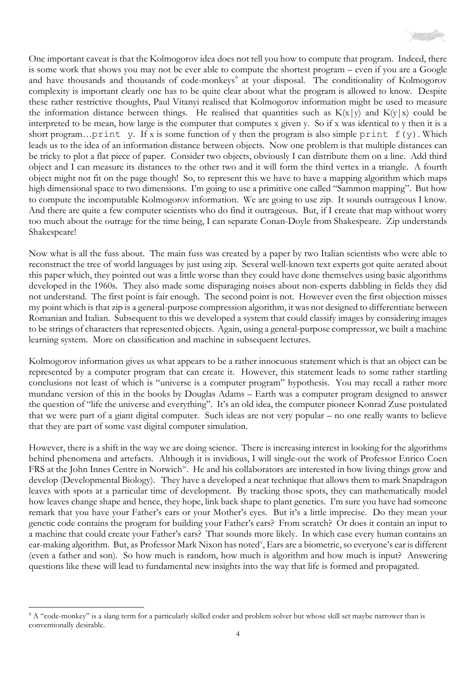

One important caveat is that the Kolmogorov idea does not tell you how to compute that program. Indeed, there is some work that shows you may not be ever able to compute the shortest program – even if you are a Google and have thousands and thousands of code-monkeys<sup>[9](#page-3-0)</sup> at your disposal. The conditionality of Kolmogorov complexity is important clearly one has to be quite clear about what the program is allowed to know. Despite these rather restrictive thoughts, Paul Vitanyi realised that Kolmogorov information might be used to measure the information distance between things. He realised that quantities such as  $K(x|y)$  and  $K(y|x)$  could be interpreted to be mean, how large is the computer that computes x given y. So if x was identical to y then it is a short program...print y. If x is some function of y then the program is also simple print  $f(y)$ . Which leads us to the idea of an information distance between objects. Now one problem is that multiple distances can be tricky to plot a flat piece of paper. Consider two objects, obviously I can distribute them on a line. Add third object and I can measure its distances to the other two and it will form the third vertex in a triangle. A fourth object might not fit on the page though! So, to represent this we have to have a mapping algorithm which maps high dimensional space to two dimensions. I'm going to use a primitive one called "Sammon mapping". But how to compute the incomputable Kolmogorov information. We are going to use zip. It sounds outrageous I know. And there are quite a few computer scientists who do find it outrageous. But, if I create that map without worry too much about the outrage for the time being, I can separate Conan-Doyle from Shakespeare. Zip understands Shakespeare!

Now what is all the fuss about. The main fuss was created by a paper by two Italian scientists who were able to reconstruct the tree of world languages by just using zip. Several well-known text experts got quite aerated about this paper which, they pointed out was a little worse than they could have done themselves using basic algorithms developed in the 1960s. They also made some disparaging noises about non-experts dabbling in fields they did not understand. The first point is fair enough. The second point is not. However even the first objection misses my point which is that zip is a general-purpose compression algorithm, it was not designed to differentiate between Romanian and Italian. Subsequent to this we developed a system that could classify images by considering images to be strings of characters that represented objects. Again, using a general-purpose compressor, we built a machine learning system. More on classification and machine in subsequent lectures.

Kolmogorov information gives us what appears to be a rather innocuous statement which is that an object can be represented by a computer program that can create it. However, this statement leads to some rather startling conclusions not least of which is "universe is a computer program" hypothesis. You may recall a rather more mundane version of this in the books by Douglas Adams – Earth was a computer program designed to answer the question of "life the universe and everything". It's an old idea, the computer pioneer Konrad Zuse postulated that we were part of a giant digital computer. Such ideas are not very popular – no one really wants to believe that they are part of some vast digital computer simulation.

However, there is a shift in the way we are doing science. There is increasing interest in looking for the algorithms behind phenomena and artefacts. Although it is invidious, I will single-out the work of Professor Enrico Coen FRS at the John Innes Centre in Norwich<sup>[iv](#page-4-3)</sup>. He and his collaborators are interested in how living things grow and develop (Developmental Biology). They have a developed a neat technique that allows them to mark Snapdragon leaves with spots at a particular time of development. By tracking those spots, they can mathematically model how leaves change shape and hence, they hope, link back shape to plant genetics. I'm sure you have had someone remark that you have your Father's ears or your Mother's eyes. But it's a little imprecise. Do they mean your genetic code contains the program for building your Father's ears? From scratch? Or does it contain an input to a machine that could create your Father's ears? That sounds more likely. In which case every human contains an ear-making algorithm. But, as Professor Mark Nixon has noted<sup>[v](#page-4-4)</sup>, Ears are a biometric, so everyone's ear is different (even a father and son). So how much is random, how much is algorithm and how much is input? Answering questions like these will lead to fundamental new insights into the way that life is formed and propagated.

<span id="page-3-0"></span><sup>&</sup>lt;sup>9</sup> A "code-monkey" is a slang term for a particularly skilled coder and problem solver but whose skill set maybe narrower than is conventionally desirable.